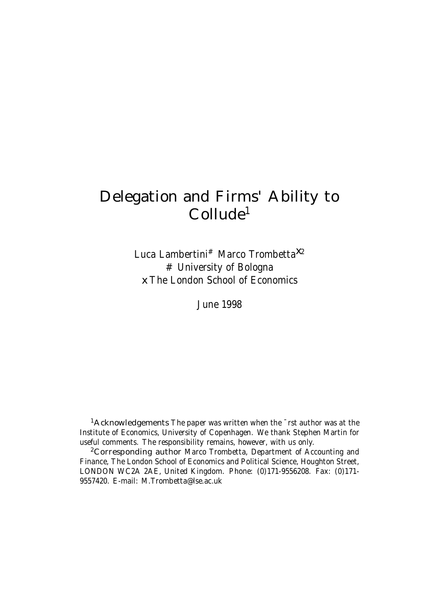# Delegation and Firms' Ability to Collude 1

Luca Lambertini<sup>#</sup> Marco Trombetta<sup>X2</sup> # University of Bologna x The London School of Economics

June 1998

 $1$ Acknowledgements The paper was written when the  $\overline{\phantom{a}}$ rst author was at the Institute of Economics, University of Copenhagen. We thank Stephen Martin for useful comments. The responsibility remains, however, with us only.

<sup>2</sup>Corresponding author Marco Trombetta, Department of Accounting and Finance, The London School of Economics and Political Science, Houghton Street, LONDON WC2A 2AE, United Kingdom. Phone: (0)171-9556208. Fax: (0)171- 9557420. E-mail: M.Trombetta@lse.ac.uk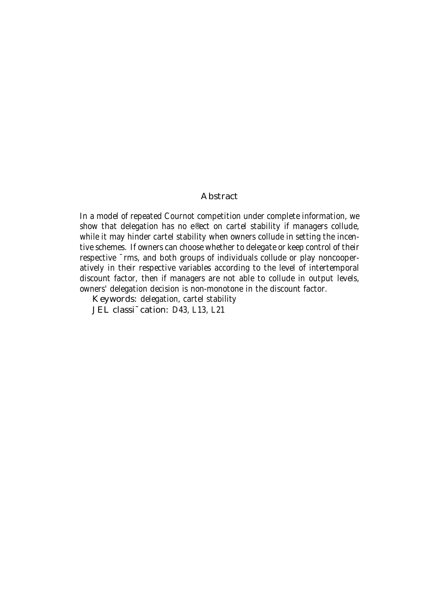#### Abstract

In a model of repeated Cournot competition under complete information, we show that delegation has no e®ect on cartel stability if managers collude, while it may hinder cartel stability when owners collude in setting the incentive schemes. If owners can choose whether to delegate or keep control of their respective ¯rms, and both groups of individuals collude or play noncooperatively in their respective variables according to the level of intertemporal discount factor, then if managers are not able to collude in output levels, owners' delegation decision is non-monotone in the discount factor.

Keywords: delegation, cartel stability

JEL classi<sup>-</sup>cation: D43, L13, L21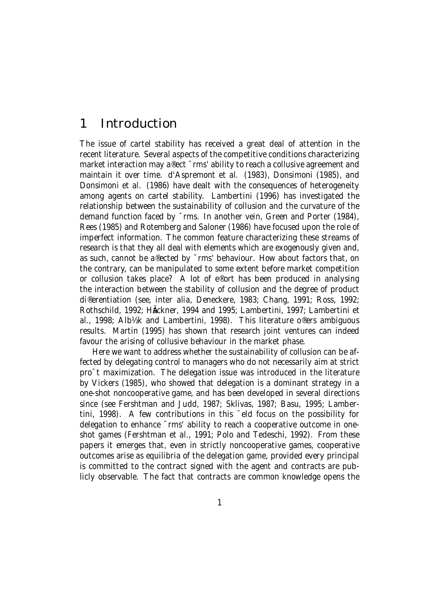### 1 Introduction

The issue of cartel stability has received a great deal of attention in the recent literature. Several aspects of the competitive conditions characterizing market interaction may a®ect  $\bar{m}$  ability to reach a collusive agreement and maintain it over time. d'Aspremont et al. (1983), Donsimoni (1985), and Donsimoni et al. (1986) have dealt with the consequences of heterogeneity among agents on cartel stability. Lambertini (1996) has investigated the relationship between the sustainability of collusion and the curvature of the demand function faced by ¯rms. In another vein, Green and Porter (1984), Rees (1985) and Rotemberg and Saloner (1986) have focused upon the role of imperfect information. The common feature characterizing these streams of research is that they all deal with elements which are exogenously given and, as such, cannot be a®ected by ¯rms' behaviour. How about factors that, on the contrary, can be manipulated to some extent before market competition or collusion takes place? A lot of e®ort has been produced in analysing the interaction between the stability of collusion and the degree of product di®erentiation (see, inter alia, Deneckere, 1983; Chang, 1991; Ross, 1992; Rothschild, 1992; Häckner, 1994 and 1995; Lambertini, 1997; Lambertini et al., 1998; Alb½k and Lambertini, 1998). This literature o®ers ambiguous results. Martin (1995) has shown that research joint ventures can indeed favour the arising of collusive behaviour in the market phase.

Here we want to address whether the sustainability of collusion can be affected by delegating control to managers who do not necessarily aim at strict pro¯t maximization. The delegation issue was introduced in the literature by Vickers (1985), who showed that delegation is a dominant strategy in a one-shot noncooperative game, and has been developed in several directions since (see Fershtman and Judd, 1987; Sklivas, 1987; Basu, 1995; Lambertini, 1998). A few contributions in this ¯eld focus on the possibility for delegation to enhance ¯rms' ability to reach a cooperative outcome in oneshot games (Fershtman et al., 1991; Polo and Tedeschi, 1992). From these papers it emerges that, even in strictly noncooperative games, cooperative outcomes arise as equilibria of the delegation game, provided every principal is committed to the contract signed with the agent and contracts are publicly observable. The fact that contracts are common knowledge opens the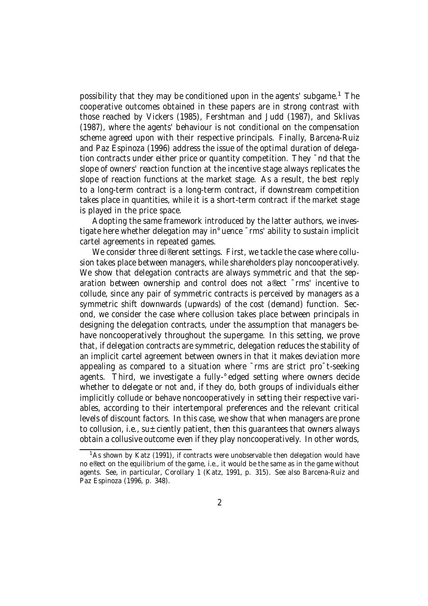possibility that they may be conditioned upon in the agents' subgame.<sup>1</sup> The cooperative outcomes obtained in these papers are in strong contrast with those reached by Vickers (1985), Fershtman and Judd (1987), and Sklivas (1987), where the agents' behaviour is not conditional on the compensation scheme agreed upon with their respective principals. Finally, Barcena-Ruiz and Paz Espinoza (1996) address the issue of the optimal duration of delegation contracts under either price or quantity competition. They ¯nd that the slope of owners' reaction function at the incentive stage always replicates the slope of reaction functions at the market stage. As a result, the best reply to a long-term contract is a long-term contract, if downstream competition takes place in quantities, while it is a short-term contract if the market stage is played in the price space.

Adopting the same framework introduced by the latter authors, we investigate here whether delegation may in°uence ¯rms' ability to sustain implicit cartel agreements in repeated games.

We consider three di®erent settings. First, we tackle the case where collusion takes place between managers, while shareholders play noncooperatively. We show that delegation contracts are always symmetric and that the separation between ownership and control does not a®ect ¯rms' incentive to collude, since any pair of symmetric contracts is perceived by managers as a symmetric shift downwards (upwards) of the cost (demand) function. Second, we consider the case where collusion takes place between principals in designing the delegation contracts, under the assumption that managers behave noncooperatively throughout the supergame. In this setting, we prove that, if delegation contracts are symmetric, delegation reduces the stability of an implicit cartel agreement between owners in that it makes deviation more appealing as compared to a situation where ¯rms are strict pro¯t-seeking agents. Third, we investigate a fully-°edged setting where owners decide whether to delegate or not and, if they do, both groups of individuals either implicitly collude or behave noncooperatively in setting their respective variables, according to their intertemporal preferences and the relevant critical levels of discount factors. In this case, we show that when managers are prone to collusion, i.e., su $\pm$ ciently patient, then this quarantees that owners always obtain a collusive outcome even if they play noncooperatively. In other words,

<sup>&</sup>lt;sup>1</sup>As shown by Katz (1991), if contracts were unobservable then delegation would have no e®ect on the equilibrium of the game, i.e., it would be the same as in the game without agents. See, in particular, Corollary 1 (Katz, 1991, p. 315). See also Barcena-Ruiz and Paz Espinoza (1996, p. 348).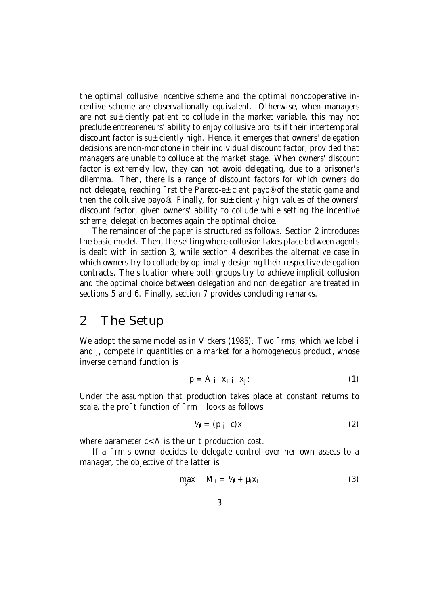the optimal collusive incentive scheme and the optimal noncooperative incentive scheme are observationally equivalent. Otherwise, when managers are not su $\pm$ ciently patient to collude in the market variable, this may not preclude entrepreneurs' ability to enjoy collusive pro¯ts if their intertemporal discount factor is su $\pm$ ciently high. Hence, it emerges that owners' delegation decisions are non-monotone in their individual discount factor, provided that managers are unable to collude at the market stage. When owners' discount factor is extremely low, they can not avoid delegating, due to a prisoner's dilemma. Then, there is a range of discount factors for which owners do not delegate, reaching <sup>-</sup>rst the Pareto-e±cient payo<sup>®</sup> of the static game and then the collusive payo®. Finally, for su $\pm$ ciently high values of the owners' discount factor, given owners' ability to collude while setting the incentive scheme, delegation becomes again the optimal choice.

The remainder of the paper is structured as follows. Section 2 introduces the basic model. Then, the setting where collusion takes place between agents is dealt with in section 3, while section 4 describes the alternative case in which owners try to collude by optimally designing their respective delegation contracts. The situation where both groups try to achieve implicit collusion and the optimal choice between delegation and non delegation are treated in sections 5 and 6. Finally, section 7 provides concluding remarks.

### 2 The Setup

We adopt the same model as in Vickers (1985). Two ~rms, which we label i and j, compete in quantities on a market for a homogeneous product, whose inverse demand function is

$$
p = A_i \, x_i \, x_j. \tag{1}
$$

Under the assumption that production takes place at constant returns to scale, the pro<sup>-</sup>t function of  $\bar{}$ rm i looks as follows:

$$
V_{4i} = (p_i c)x_i
$$
 (2)

where parameter  $c < A$  is the unit production cost.

If a ¯rm's owner decides to delegate control over her own assets to a manager, the objective of the latter is

$$
\max_{\mathbf{x}_i} \quad \mathbf{M}_i = \mathbf{M}_i + \mu_i \mathbf{x}_i \tag{3}
$$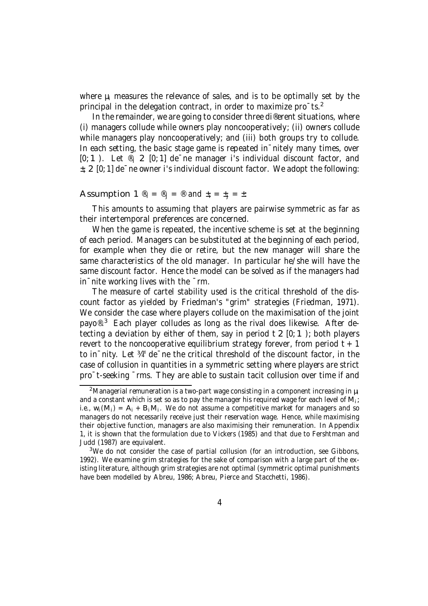where  $\mu_i$  measures the relevance of sales, and is to be optimally set by the principal in the delegation contract, in order to maximize pro¯ts. 2

In the remainder, we are going to consider three di®erent situations, where (i) managers collude while owners play noncooperatively; (ii) owners collude while managers play noncooperatively; and (iii) both groups try to collude. In each setting, the basic stage game is repeated in nitely many times, over  $[0; 1]$ . Let  $\mathcal{P}_i$  2  $[0; 1]$  de ne manager i's individual discount factor, and  $\pm$ i 2 [0; 1] de $\overline{\phantom{a}}$  ne owner i's individual discount factor. We adopt the following:

#### Assumption 1  $\mathbb{B}_i = \mathbb{B}_i = \mathbb{B}$  and  $\pm_i = \pm_i = \pm$ :

This amounts to assuming that players are pairwise symmetric as far as their intertemporal preferences are concerned.

When the game is repeated, the incentive scheme is set at the beginning of each period. Managers can be substituted at the beginning of each period, for example when they die or retire, but the new manager will share the same characteristics of the old manager. In particular he/she will have the same discount factor. Hence the model can be solved as if the managers had in¯nite working lives with the ¯rm.

The measure of cartel stability used is the critical threshold of the discount factor as yielded by Friedman's "grim" strategies (Friedman, 1971). We consider the case where players collude on the maximisation of the joint payo®.<sup>3</sup> Each player colludes as long as the rival does likewise. After detecting a deviation by either of them, say in period  $t \geq [0; 1)$ ; both players revert to the noncooperative equilibrium strategy forever, from period  $t + 1$ to in¯nity. Let ¾ ¤ de¯ne the critical threshold of the discount factor, in the case of collusion in quantities in a symmetric setting where players are strict pro¯t-seeking ¯rms. They are able to sustain tacit collusion over time if and

<sup>&</sup>lt;sup>2</sup>Managerial remuneration is a two-part wage consisting in a component increasing in  $\mu_i$ and a constant which is set so as to pay the manager his required wage for each level of M<sub>i</sub>; i.e.,  $w_i(M_i) = A_i + B_iM_i$ . We do not assume a competitive market for managers and so managers do not necessarily receive just their reservation wage. Hence, while maximising their objective function, managers are also maximising their remuneration. In Appendix 1, it is shown that the formulation due to Vickers (1985) and that due to Fershtman and Judd (1987) are equivalent.

<sup>&</sup>lt;sup>3</sup>We do not consider the case of partial collusion (for an introduction, see Gibbons, 1992). We examine grim strategies for the sake of comparison with a large part of the existing literature, although grim strategies are not optimal (symmetric optimal punishments have been modelled by Abreu, 1986; Abreu, Pierce and Stacchetti, 1986).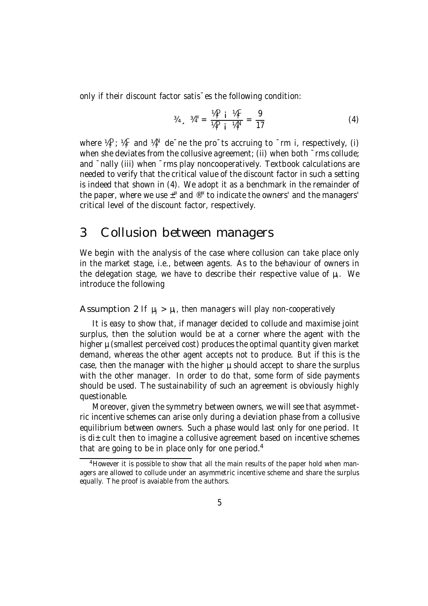only if their discount factor satis¯es the following condition:

$$
{}^{\frac{3}{4}} \, \square \, {}^{\frac{3}{4}} = \frac{{}^{\frac{10}{1}} \, \square \, {}^{\frac{1}{1}} \, \frac{10}{10}}{10 \, \square \, {}^{\frac{10}{1}} \, \square \, {}^{\frac{10}{1}} \, \frac{100}{10}} = \frac{9}{17} \tag{4}
$$

where  $\frac{1}{4}$ ,  $\frac{1}{4}$ ,  $\frac{1}{4}$  and  $\frac{1}{4}$ ,  $\frac{1}{4}$  de $\bar{ }$  ne the pro $\bar{ }$  ts accruing to  $\bar{ }$  rm i, respectively, (i) when she deviates from the collusive agreement; (ii) when both  $\bar{ }$ rms collude; and ¯nally (iii) when ¯rms play noncooperatively. Textbook calculations are needed to verify that the critical value of the discount factor in such a setting is indeed that shown in (4). We adopt it as a benchmark in the remainder of the paper, where we use  $\pm^{\infty}$  and  $^{\circledR}$  to indicate the owners' and the managers' critical level of the discount factor, respectively.

### 3 Collusion between managers

We begin with the analysis of the case where collusion can take place only in the market stage, i.e., between agents. As to the behaviour of owners in the delegation stage, we have to describe their respective value of  $\mu_i$ . We introduce the following

Assumption 2 If  $\mu_i > \mu_i$ , then managers will play non-cooperatively

It is easy to show that, if manager decided to collude and maximise joint surplus, then the solution would be at a corner where the agent with the higher  $\mu$  (smallest perceived cost) produces the optimal quantity given market demand, whereas the other agent accepts not to produce. But if this is the case, then the manager with the higher  $\mu$  should accept to share the surplus with the other manager. In order to do that, some form of side payments should be used. The sustainability of such an agreement is obviously highly questionable.

Moreover, given the symmetry between owners, we will see that asymmetric incentive schemes can arise only during a deviation phase from a collusive equilibrium between owners. Such a phase would last only for one period. It is di $\pm$ cult then to imagine a collusive agreement based on incentive schemes that are going to be in place only for one period. 4

<sup>&</sup>lt;sup>4</sup> However it is possible to show that all the main results of the paper hold when managers are allowed to collude under an asymmetric incentive scheme and share the surplus equally. The proof is avaiable from the authors.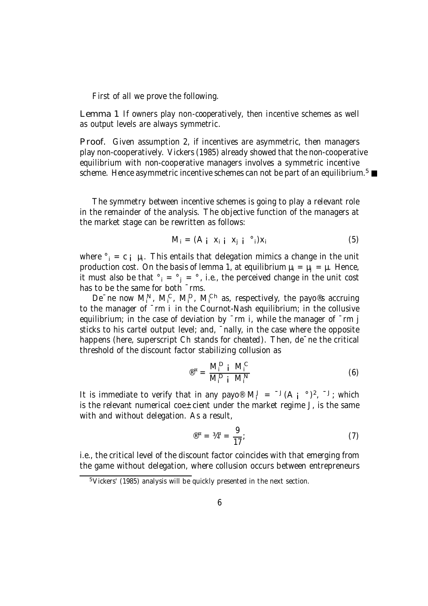First of all we prove the following.

Lemma 1 If owners play non-cooperatively, then incentive schemes as well as output levels are always symmetric.

Proof. Given assumption 2, if incentives are asymmetric, then managers play non-cooperatively. Vickers (1985) already showed that the non-cooperative equilibrium with non-cooperative managers involves a symmetric incentive scheme. Hence asymmetric incentive schemes can not be part of an equilibrium. $^5$ 

The symmetry between incentive schemes is going to play a relevant role in the remainder of the analysis. The objective function of the managers at the market stage can be rewritten as follows:

$$
M_i = (A_i \, x_i \, i \, x_j \, i \, \degree_i) x_i \tag{5}
$$

where  $\delta_i = c_i \mu_i$ . This entails that delegation mimics a change in the unit production cost. On the basis of lemma 1, at equilibrium  $\mu_i = \mu_i = \mu$ . Hence, it must also be that  $\degree_i = \degree_i = \degree$ , i.e., the perceived change in the unit cost has to be the same for both  $\bar{m}$  rms.

De<sup>-</sup>ne now  $M_i^N$ ,  $M_i^C$ ,  $M_i^D$ ,  $M_i^{Ch}$  as, respectively, the payo®s accruing to the manager of ¯rm i in the Cournot-Nash equilibrium; in the collusive equilibrium; in the case of deviation by  $\bar{r}$ m i, while the manager of  $\bar{r}$ m j sticks to his cartel output level; and, ¯nally, in the case where the opposite happens (here, superscript Ch stands for cheated). Then, de $\bar{\ }$ ne the critical threshold of the discount factor stabilizing collusion as

$$
\mathbf{E}^{\mathbf{E}} = \frac{\mathbf{M}_{i}^{\mathbf{D}} \mathbf{i} \ \mathbf{M}_{i}^{\mathbf{C}}}{\mathbf{M}_{i}^{\mathbf{D}} \mathbf{i} \ \mathbf{M}_{i}^{\mathbf{N}}}
$$
 (6)

It is immediate to verify that in any payo<sup>®</sup>  $M_i^J = {}^{-J}(A_i \circ )^2$ ,  $J_i$ ; which is the relevant numerical coe $\pm$ cient under the market regime J, is the same with and without delegation. As a result,

$$
^{\circledR}^{\alpha} = \frac{4}{4}^{\alpha} = \frac{9}{17}; \tag{7}
$$

i.e., the critical level of the discount factor coincides with that emerging from the game without delegation, where collusion occurs between entrepreneurs

<sup>5</sup>Vickers' (1985) analysis will be quickly presented in the next section.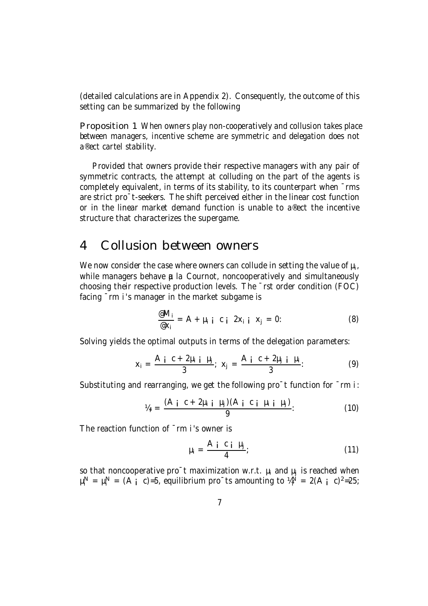(detailed calculations are in Appendix 2). Consequently, the outcome of this setting can be summarized by the following

Proposition 1 When owners play non-cooperatively and collusion takes place between managers, incentive scheme are symmetric and delegation does not a®ect cartel stability.

Provided that owners provide their respective managers with any pair of symmetric contracts, the attempt at colluding on the part of the agents is completely equivalent, in terms of its stability, to its counterpart when ¯rms are strict pro¯t-seekers. The shift perceived either in the linear cost function or in the linear market demand function is unable to a®ect the incentive structure that characterizes the supergame.

### 4 Collusion between owners

We now consider the case where owners can collude in setting the value of  $\mu_i$ , while managers behave  $\mu$  la Cournot, noncooperatively and simultaneously choosing their respective production levels. The ¯rst order condition (FOC) facing ¯rm i's manager in the market subgame is

$$
\frac{\mathscr{e}M_i}{\mathscr{e}X_i} = A + \mu_i \quad i \quad c \quad i \quad 2X_i \quad i \quad X_j = 0: \tag{8}
$$

Solving yields the optimal outputs in terms of the delegation parameters:

$$
x_{i} = \frac{A_{i} c + 2\mu_{i} i \mu_{j}}{3}; \ x_{j} = \frac{A_{i} c + 2\mu_{j} i \mu_{i}}{3}; \tag{9}
$$

Substituting and rearranging, we get the following pro<sup>-</sup>t function for  $\overline{\ }$ rm i:

$$
V_{4i} = \frac{(A_i \ c + 2\mu_{i i} \ \mu_j)(A_i \ c_i \ \mu_{i i} \ \mu_j)}{9}.
$$
 (10)

The reaction function of  $\bar{m}$  i's owner is

$$
\mu_i = \frac{A_i \ c_i \ \mu_j}{4};\tag{11}
$$

so that noncooperative pro $\bar{\ }$ t maximization w.r.t.  $\mu_i$  and  $\mu_j$  is reached when  $\mu_i^N = \mu_i^N = (A_i \ c) = 5$ , equilibrium pro $\tau$ ts amounting to  $\mu_i^N = 2(A_i \ c)^2 = 25$ ;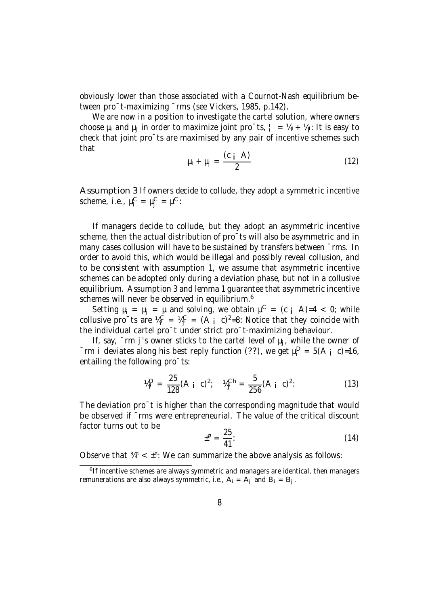obviously lower than those associated with a Cournot-Nash equilibrium between pro¯t-maximizing ¯rms (see Vickers, 1985, p.142).

We are now in a position to investigate the cartel solution, where owners choose  $\mu_i$  and  $\mu_j$  in order to maximize joint pro $\bar{c}$ ts,  $\bar{z} = \mu_i + \mu_j$ : It is easy to check that joint pro¯ts are maximised by any pair of incentive schemes such that

$$
\mu_i + \mu_j = \frac{(c \cdot \mathbf{A})}{2} \tag{12}
$$

Assumption 3 If owners decide to collude, they adopt a symmetric incentive scheme, i.e.,  $\mu_i^C = \mu_j^C = \mu^C$ :

If managers decide to collude, but they adopt an asymmetric incentive scheme, then the actual distribution of pro¯ts will also be asymmetric and in many cases collusion will have to be sustained by transfers between ¯rms. In order to avoid this, which would be illegal and possibly reveal collusion, and to be consistent with assumption 1, we assume that asymmetric incentive schemes can be adopted only during a deviation phase, but not in a collusive equilibrium. Assumption 3 and lemma 1 guarantee that asymmetric incentive schemes will never be observed in equilibrium. $^6$ 

Setting  $\mu_i = \mu_j = \mu$  and solving, we obtain  $\mu^C = (c_i \ A)=4 < 0$ ; while collusive pro $\text{ts}$  are  $\mathcal{U}^{\text{C}}_i = \mathcal{U}^{\text{C}}_j = (A_i \ c)^2 = 8$ : Notice that they coincide with the individual cartel pro¯t under strict pro¯t-maximizing behaviour.

If, say,  $\bar{m}$  j's owner sticks to the cartel level of  $\mu_i$ , while the owner of  $\overline{\ }$ rm i deviates along his best reply function (??), we get  $\mu_{i}^{D} = 5(A_{i} \ c) = 16$ , entailing the following pro¯ts:

$$
\mathcal{V}_i^D = \frac{25}{128} (A_i c)^2; \quad \mathcal{V}_j^{Ch} = \frac{5}{256} (A_i c)^2.
$$
 (13)

The deviation pro<sup>-</sup>t is higher than the corresponding magnitude that would be observed if  $\overline{\ }$ rms were entrepreneurial. The value of the critical discount factor turns out to be

$$
\pm^{\mathfrak{n}} = \frac{25}{41}.
$$
 (14)

Observe that  $\mathcal{H}^{\alpha} < \pm^{\alpha}$ : We can summarize the above analysis as follows:

<sup>&</sup>lt;sup>6</sup> If incentive schemes are always symmetric and managers are identical, then managers remunerations are also always symmetric, i.e.,  $A_i = A_j$  and  $B_i = B_j$ .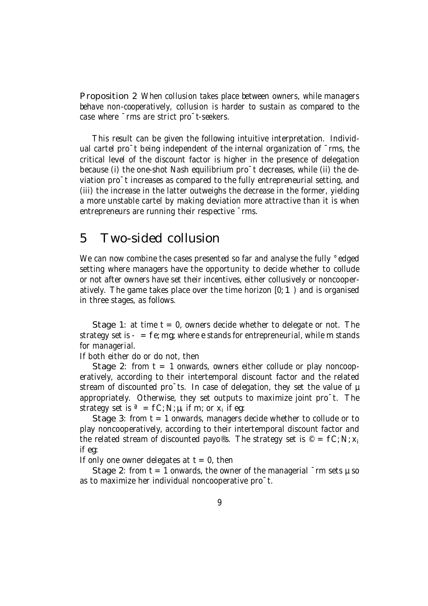Proposition 2 When collusion takes place between owners, while managers behave non-cooperatively, collusion is harder to sustain as compared to the case where ¯rms are strict pro¯t-seekers.

This result can be given the following intuitive interpretation. Individual cartel pro<sup>-</sup>t being independent of the internal organization of <sup>-</sup>rms, the critical level of the discount factor is higher in the presence of delegation because (i) the one-shot Nash equilibrium pro¯t decreases, while (ii) the deviation pro¯t increases as compared to the fully entrepreneurial setting, and (iii) the increase in the latter outweighs the decrease in the former, yielding a more unstable cartel by making deviation more attractive than it is when entrepreneurs are running their respective ¯rms.

### 5 Two-sided collusion

We can now combine the cases presented so far and analyse the fully °edged setting where managers have the opportunity to decide whether to collude or not after owners have set their incentives, either collusively or noncooperatively. The game takes place over the time horizon [0; 1) and is organised in three stages, as follows.

Stage 1: at time  $t = 0$ , owners decide whether to delegate or not. The strategy set is  $-$  = fe; mg; where e stands for entrepreneurial, while m stands for managerial.

If both either do or do not, then

Stage 2: from  $t = 1$  onwards, owners either collude or play noncooperatively, according to their intertemporal discount factor and the related stream of discounted pro $\bar{a}$  ts. In case of delegation, they set the value of  $\mu$ appropriately. Otherwise, they set outputs to maximize joint pro¯t. The strategy set is  $\mathsf{a} = \mathsf{fC}$ ; N;  $\mu_i$  if m; or  $x_i$  if eg:

Stage 3: from  $t = 1$  onwards, managers decide whether to collude or to play noncooperatively, according to their intertemporal discount factor and the related stream of discounted payo®s. The strategy set is © =  $fC$ ; N;  $x_i$ if eg:

If only one owner delegates at  $t = 0$ , then

Stage 2: from  $t = 1$  onwards, the owner of the managerial  $\bar{m}$  sets  $\mu$  so as to maximize her individual noncooperative pro¯t.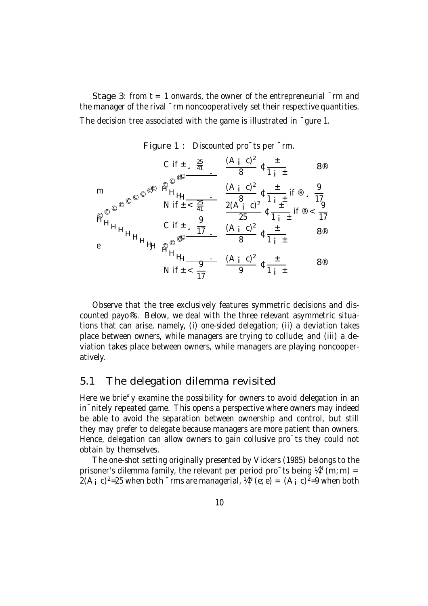Stage 3: from  $t = 1$  onwards, the owner of the entrepreneurial  $\bar{m}$  and the manager of the rival ¯rm noncooperatively set their respective quantities. The decision tree associated with the game is illustrated in ¯gure 1.



Figure 1 : Discounted pro¯ts per ¯rm.

Observe that the tree exclusively features symmetric decisions and discounted payo®s. Below, we deal with the three relevant asymmetric situations that can arise, namely, (i) one-sided delegation; (ii) a deviation takes place between owners, while managers are trying to collude; and (iii) a deviation takes place between owners, while managers are playing noncooperatively.

#### 5.1 The delegation dilemma revisited

Here we brie<sup>o</sup> y examine the possibility for owners to avoid delegation in an in¯nitely repeated game. This opens a perspective where owners may indeed be able to avoid the separation between ownership and control, but still they may prefer to delegate because managers are more patient than owners. Hence, delegation can allow owners to gain collusive pro<sup>-</sup>ts they could not obtain by themselves.

The one-shot setting originally presented by Vickers (1985) belongs to the prisoner's dilemma family, the relevant per period pro $\mathsf{C}$ ts being ¼ $_{\mathsf{i}}^{\mathsf{N}}$  (m; m) = 2(A<sub>i</sub> c)<sup>2</sup>=25 when both  $\overline{\ }$ rms are managerial, ¼<sup>N</sup>(e; e) = (A<sub>i</sub> c)<sup>2</sup>=9 when both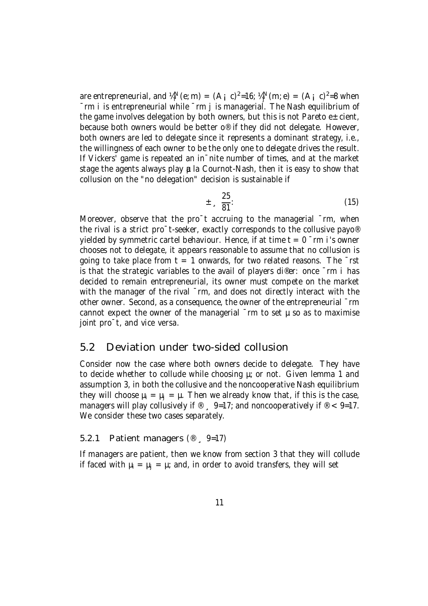are entrepreneurial, and  $\mathcal{U}_i^N$  (e; m) = (A<sub>i</sub> c)<sup>2</sup>=16;  $\mathcal{U}_j^N$  (m; e) = (A<sub>i</sub> c)<sup>2</sup>=8 when ¯rm i is entrepreneurial while ¯rm j is managerial. The Nash equilibrium of the game involves delegation by both owners, but this is not Pareto  $e \pm c$ ient, because both owners would be better o® if they did not delegate. However, both owners are led to delegate since it represents a dominant strategy, i.e., the willingness of each owner to be the only one to delegate drives the result. If Vickers' game is repeated an in¯nite number of times, and at the market stage the agents always play  $\mu$  la Cournot-Nash, then it is easy to show that collusion on the "no delegation" decision is sustainable if

$$
\pm \frac{25}{81}.
$$
 (15)

Moreover, observe that the pro<sup>-</sup>t accruing to the managerial <sup>-</sup>rm, when the rival is a strict pro¯t-seeker, exactly corresponds to the collusive payo® yielded by symmetric cartel behaviour. Hence, if at time  $t = 0$   $\bar{r}$ m i's owner chooses not to delegate, it appears reasonable to assume that no collusion is going to take place from  $t = 1$  onwards, for two related reasons. The  $\overline{\phantom{a}}$ rst is that the strategic variables to the avail of players di®er: once  $\bar{m}$  i has decided to remain entrepreneurial, its owner must compete on the market with the manager of the rival  $\bar{m}$ , and does not directly interact with the other owner. Second, as a consequence, the owner of the entrepreneurial ¯rm cannot expect the owner of the managerial  $\bar{m}$  to set  $\mu$  so as to maximise joint pro<sup>-</sup>t, and vice versa.

#### 5.2 Deviation under two-sided collusion

Consider now the case where both owners decide to delegate. They have to decide whether to collude while choosing  $\mu$ ; or not. Given lemma 1 and assumption 3, in both the collusive and the noncooperative Nash equilibrium they will choose  $\mu_i = \mu_i = \mu$ . Then we already know that, if this is the case, managers will play collusively if  $\mathcal{D}$ ,  $9=17$ ; and noncooperatively if  $\mathcal{D}$  < 9=17. We consider these two cases separately.

#### 5.2.1 Patient managers (® ¸ 9=17)

If managers are patient, then we know from section 3 that they will collude if faced with  $\mu_i = \mu_j = \mu$ ; and, in order to avoid transfers, they will set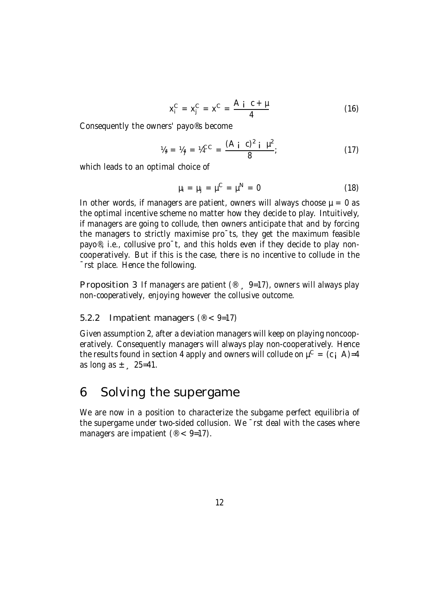$$
x_i^C = x_j^C = x^C = \frac{A_i \ c + \mu}{4} \tag{16}
$$

Consequently the owners' payo®s become

$$
V_{4i} = V_{4j} = V_4^{CC} = \frac{(A i C)^2 i \mu^2}{8};
$$
 (17)

which leads to an optimal choice of

$$
\mu_i = \mu_j = \mu^C = \mu^N = 0 \tag{18}
$$

In other words, if managers are patient, owners will always choose  $\mu = 0$  as the optimal incentive scheme no matter how they decide to play. Intuitively, if managers are going to collude, then owners anticipate that and by forcing the managers to strictly maximise pro¯ts, they get the maximum feasible payo®, i.e., collusive pro¯t, and this holds even if they decide to play noncooperatively. But if this is the case, there is no incentive to collude in the ¯rst place. Hence the following.

Proposition 3 If managers are patient  $(\text{I})$   $(9-17)$ , owners will always play non-cooperatively, enjoying however the collusive outcome.

#### 5.2.2 Impatient managers ( $\textdegree$  < 9=17)

Given assumption 2, after a deviation managers will keep on playing noncooperatively. Consequently managers will always play non-cooperatively. Hence the results found in section 4 apply and owners will collude on  $\mu^C = (c_i \ A) = 4$ as long as  $\pm$   $\sqrt{25}$ =41.

### 6 Solving the supergame

We are now in a position to characterize the subgame perfect equilibria of the supergame under two-sided collusion. We ¯rst deal with the cases where managers are impatient ( $\mathcal{O}$  < 9=17).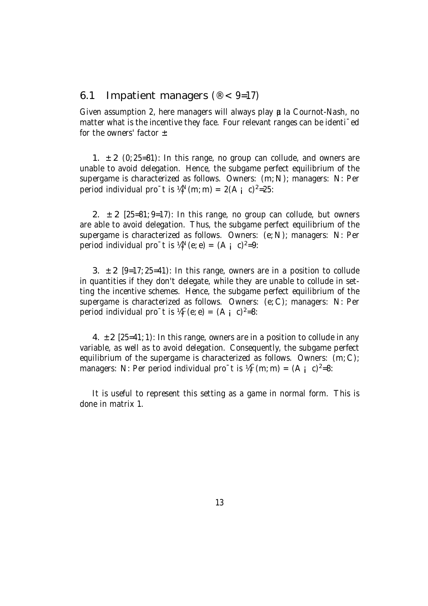#### 6.1 Impatient managers ( $\textdegree$  < 9=17)

Given assumption 2, here managers will always play **a** la Cournot-Nash, no matter what is the incentive they face. Four relevant ranges can be identi¯ed for the owners' factor  $\pm$ :

1.  $\pm$  2 (0; 25=81): In this range, no group can collude, and owners are unable to avoid delegation. Hence, the subgame perfect equilibrium of the supergame is characterized as follows. Owners: (m; N); managers: N: Per period individual pro $^-$ t is ¼<sup>N</sup>(m; m) = 2(A <sub>i</sub> c)<sup>2</sup>=25:

2.  $\pm$  2 [25=81; 9=17): In this range, no group can collude, but owners are able to avoid delegation. Thus, the subgame perfect equilibrium of the supergame is characterized as follows. Owners: (e; N); managers: N: Per period individual pro $^-$ t is  $\mathcal{U}_i^N$ (e; e) = (A <sub>i</sub> c)<sup>2</sup>=9:

3.  $\pm$  2 [9=17; 25=41): In this range, owners are in a position to collude in quantities if they don't delegate, while they are unable to collude in setting the incentive schemes. Hence, the subgame perfect equilibrium of the supergame is characterized as follows. Owners: (e; C); managers: N: Per period individual pro $^-$ t is  $\mathcal{U}_i^C(e; e) = (A_i \ c)^2 = 8$ :

4.  $\pm$  2 [25=41; 1): In this range, owners are in a position to collude in any variable, as well as to avoid delegation. Consequently, the subgame perfect equilibrium of the supergame is characterized as follows. Owners:  $(m; C)$ ; managers: N: Per period individual pro<sup>-</sup>t is  $\mathcal{U}_i^C(m; m) = (A_i c)^2 = 8$ :

It is useful to represent this setting as a game in normal form. This is done in matrix 1.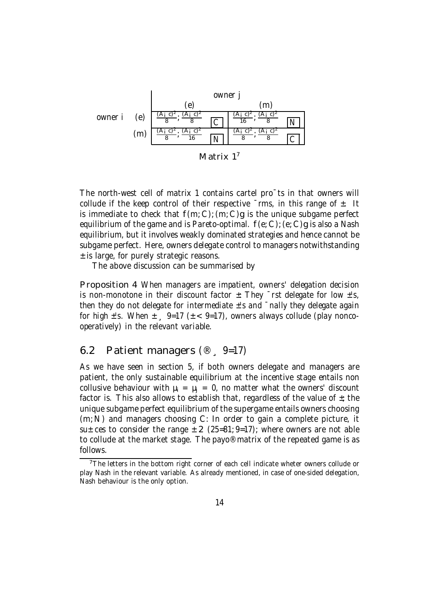

The north-west cell of matrix 1 contains cartel pro¯ts in that owners will collude if the keep control of their respective  $\bar{r}$ ms, in this range of  $\pm$ . It is immediate to check that  $f(m; C)$ ;  $(m; C)$  is the unique subgame perfect equilibrium of the game and is Pareto-optimal.  $f(e; C)$ ; (e; C)g is also a Nash equilibrium, but it involves weakly dominated strategies and hence cannot be subgame perfect. Here, owners delegate control to managers notwithstanding ± is large, for purely strategic reasons.

The above discussion can be summarised by

Proposition 4 When managers are impatient, owners' delegation decision is non-monotone in their discount factor  $\pm$ : They  $\bar{ }$ rst delegate for low  $\pm$ 's, then they do not delegate for intermediate  $\pm$ 's and  $\bar{\phantom{a}}$  nally they delegate again for high  $\pm$ 's. When  $\pm$   $\sqrt{9}$ =17 ( $\pm$  < 9=17), owners always collude (play noncooperatively) in the relevant variable.

#### 6.2 Patient managers (® ¸ 9=17)

As we have seen in section 5, if both owners delegate and managers are patient, the only sustainable equilibrium at the incentive stage entails non collusive behaviour with  $\mu_i = \mu_i = 0$ , no matter what the owners' discount factor is. This also allows to establish that, regardless of the value of  $\pm$ ; the unique subgame perfect equilibrium of the supergame entails owners choosing (m;N) and managers choosing C: In order to gain a complete picture, it su $\pm$ ces to consider the range  $\pm$  2 (25=81; 9=17); where owners are not able to collude at the market stage. The payo® matrix of the repeated game is as follows.

<sup>&</sup>lt;sup>7</sup>The letters in the bottom right corner of each cell indicate wheter owners collude or play Nash in the relevant variable. As already mentioned, in case of one-sided delegation, Nash behaviour is the only option.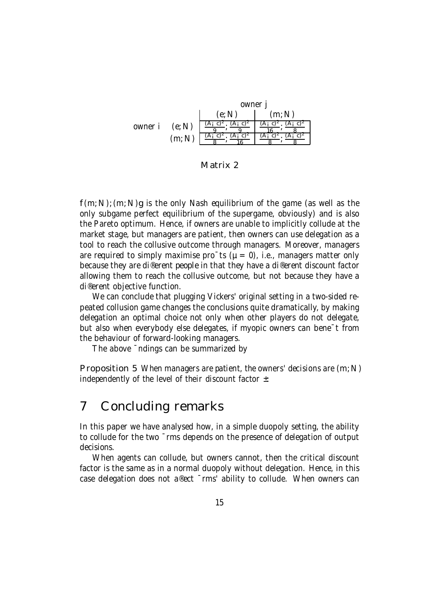

Matrix 2

 $f(m; N)$ ;  $(m; N)$ g is the only Nash equilibrium of the game (as well as the only subgame perfect equilibrium of the supergame, obviously) and is also the Pareto optimum. Hence, if owners are unable to implicitly collude at the market stage, but managers are patient, then owners can use delegation as a tool to reach the collusive outcome through managers. Moreover, managers are required to simply maximise pro $\bar{c}$ ts ( $\mu = 0$ ), i.e., managers matter only because they are di®erent people in that they have a di®erent discount factor allowing them to reach the collusive outcome, but not because they have a di®erent objective function.

We can conclude that plugging Vickers' original setting in a two-sided repeated collusion game changes the conclusions quite dramatically, by making delegation an optimal choice not only when other players do not delegate, but also when everybody else delegates, if myopic owners can bene¯t from the behaviour of forward-looking managers.

The above ¯ndings can be summarized by

Proposition 5 When managers are patient, the owners' decisions are  $(m;N)$ independently of the level of their discount factor  $\pm$ :

### 7 Concluding remarks

In this paper we have analysed how, in a simple duopoly setting, the ability to collude for the two ¯rms depends on the presence of delegation of output decisions.

When agents can collude, but owners cannot, then the critical discount factor is the same as in a normal duopoly without delegation. Hence, in this case delegation does not a®ect ¯rms' ability to collude. When owners can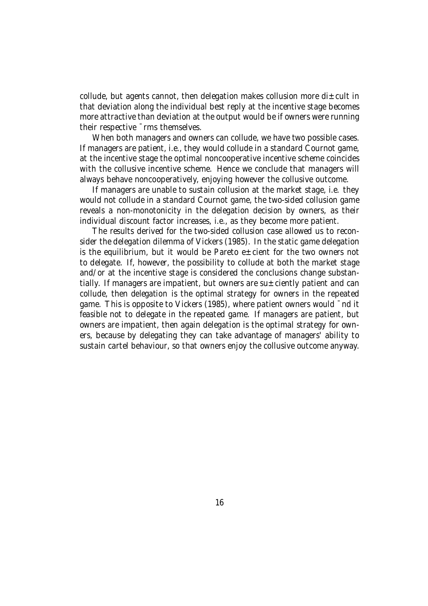collude, but agents cannot, then delegation makes collusion more di $\pm$ cult in that deviation along the individual best reply at the incentive stage becomes more attractive than deviation at the output would be if owners were running their respective ¯rms themselves.

When both managers and owners can collude, we have two possible cases. If managers are patient, i.e., they would collude in a standard Cournot game, at the incentive stage the optimal noncooperative incentive scheme coincides with the collusive incentive scheme. Hence we conclude that managers will always behave noncooperatively, enjoying however the collusive outcome.

If managers are unable to sustain collusion at the market stage, i.e. they would not collude in a standard Cournot game, the two-sided collusion game reveals a non-monotonicity in the delegation decision by owners, as their individual discount factor increases, i.e., as they become more patient.

The results derived for the two-sided collusion case allowed us to reconsider the delegation dilemma of Vickers (1985). In the static game delegation is the equilibrium, but it would be Pareto  $e \pm$ cient for the two owners not to delegate. If, however, the possibility to collude at both the market stage and/or at the incentive stage is considered the conclusions change substantially. If managers are impatient, but owners are su $\pm$ ciently patient and can collude, then delegation is the optimal strategy for owners in the repeated game. This is opposite to Vickers (1985), where patient owners would ¯nd it feasible not to delegate in the repeated game. If managers are patient, but owners are impatient, then again delegation is the optimal strategy for owners, because by delegating they can take advantage of managers' ability to sustain cartel behaviour, so that owners enjoy the collusive outcome anyway.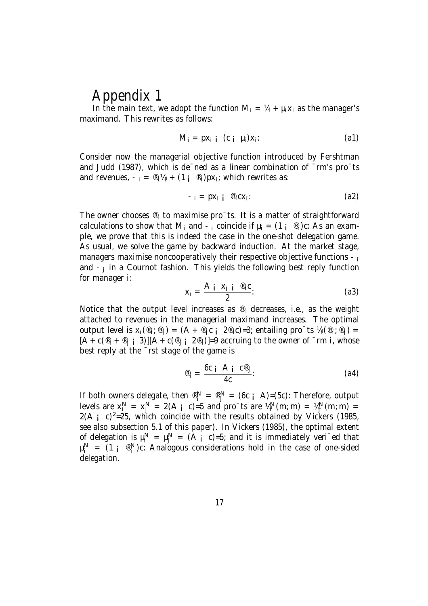## Appendix 1

In the main text, we adopt the function  $M_i = V_i + \mu_i X_i$  as the manager's maximand. This rewrites as follows:

$$
M_i = px_{i i} (c_i \mu_i)x_i
$$
 (a1)

Consider now the managerial objective function introduced by Fershtman and Judd (1987), which is de¯ned as a linear combination of ¯rm's pro¯ts and revenues,  $-$ <sub>i</sub> = ®<sub>i</sub>¼<sub>i</sub> + (1 <sub>i</sub> ®<sub>i</sub>)px<sub>i</sub>; which rewrites as:

$$
-i = px_i i \stackrel{\circledast}{\longrightarrow} cx_i:
$$
 (a2)

The owner chooses  $\mathcal{B}_i$  to maximise pro $\bar{c}$  ts. It is a matter of straightforward calculations to show that M<sub>i</sub> and  $-$ <sub>i</sub> coincide if  $\mu_i = (1 - \mathbb{R})c$ : As an example, we prove that this is indeed the case in the one-shot delegation game. As usual, we solve the game by backward induction. At the market stage, managers maximise noncooperatively their respective objective functions  $-<sub>i</sub>$ and  $-i$  in a Cournot fashion. This yields the following best reply function for manager i:

$$
x_i = \frac{A_i \, x_j \, i^{\otimes_i} c}{2}.
$$
 (a3)

Notice that the output level increases as  $\mathcal{B}_i$  decreases, i.e., as the weight attached to revenues in the managerial maximand increases. The optimal output level is  $x_i({}^{\circledR}_i;{}^{\circledR}_j) = (A + {}^{\circledR}_j c_i \quad 2{}^{\circledR}_i c) = 3$ ; entailing pro $^-$ ts  $\mathcal{U}_i({}^{\circledR}_i;{}^{\circledR}_j) =$  $[A + c(\mathcal{B}_i + \mathcal{B}_i \mathbf{i} \mathbf{3})][A + c(\mathcal{B}_i \mathbf{i} \mathbf{2} \mathcal{B}_i)] = 9$  accruing to the owner of  $\mathsf{m}$  i, whose best reply at the ¯rst stage of the game is

$$
\mathfrak{G}_{i} = \frac{6c \, i \, A \, i \, c^{\mathfrak{G}}}{4c} \, . \tag{a4}
$$

If both owners delegate, then  $\mathbb{R}^N = \mathbb{R}^N = (6c \text{ i } A) = (5c)$ : Therefore, output levels are  $x_j^N = x_j^N = 2(A_j \ c) = 5$  and pro $\tau$ ts are  $\frac{V_j^N(m; m)}{M} = \frac{V_j^N(m; m)}{M} =$  $2(A_i \ c)^2 = 25$ , which coincide with the results obtained by Vickers (1985, see also subsection 5.1 of this paper). In Vickers (1985), the optimal extent of delegation is  $\mu_i^N = \mu_j^N = (A_i \ c) = 5$ ; and it is immediately veri<sup>-</sup>ed that  $\mu_i^N = (1 \text{ i } \mathcal{R}^N)$ c: Analogous considerations hold in the case of one-sided delegation.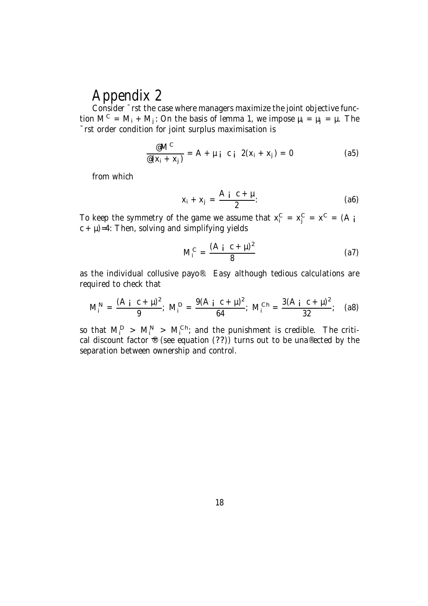# Appendix 2

Consider ¯rst the case where managers maximize the joint objective function  $M^C = M_i + M_j$ : On the basis of lemma 1, we impose  $\mu_i = \mu_j = \mu$ . The ¯rst order condition for joint surplus maximisation is

$$
\frac{\mathcal{Q}M^C}{\mathcal{Q}(x_i + x_j)} = A + \mu_i \ c_i \ 2(x_i + x_j) = 0 \qquad (a5)
$$

from which

$$
x_i + x_j = \frac{A i C + \mu}{2}.
$$
 (a6)

To keep the symmetry of the game we assume that  $x_i^C = x_j^C = x^C = (A_i$ c + µ)=4: Then, solving and simplifying yields

$$
M_i^C = \frac{(A_i \ c + \mu)^2}{8} \tag{a7}
$$

as the individual collusive payo®. Easy although tedious calculations are required to check that

$$
M_i^N = \frac{(A_i c + \mu)^2}{9}; \ M_i^D = \frac{9(A_i c + \mu)^2}{64}; \ M_i^{Ch} = \frac{3(A_i c + \mu)^2}{32}; \quad (a8)
$$

so that  $M_i^D > M_i^{N} > M_i^{Ch}$ ; and the punishment is credible. The critical discount factor  $\mathcal{L}$  (see equation (??)) turns out to be una®ected by the separation between ownership and control.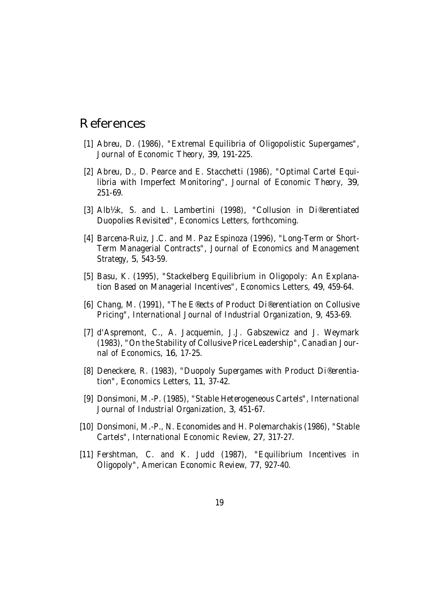### References

- [1] Abreu, D. (1986), "Extremal Equilibria of Oligopolistic Supergames", Journal of Economic Theory, 39, 191-225.
- [2] Abreu, D., D. Pearce and E. Stacchetti (1986), "Optimal Cartel Equilibria with Imperfect Monitoring", Journal of Economic Theory, 39, 251-69.
- [3] Alb½k, S. and L. Lambertini (1998), "Collusion in Di®erentiated Duopolies Revisited", Economics Letters, forthcoming.
- [4] Barcena-Ruiz, J.C. and M. Paz Espinoza (1996), "Long-Term or Short-Term Managerial Contracts", Journal of Economics and Management Strategy, 5, 543-59.
- [5] Basu, K. (1995), "Stackelberg Equilibrium in Oligopoly: An Explanation Based on Managerial Incentives", Economics Letters, 49, 459-64.
- [6] Chang, M. (1991), "The E®ects of Product Di®erentiation on Collusive Pricing", International Journal of Industrial Organization, 9, 453-69.
- [7] d'Aspremont, C., A. Jacquemin, J.J. Gabszewicz and J. Weymark (1983), "On the Stability of Collusive Price Leadership", Canadian Journal of Economics, 16, 17-25.
- [8] Deneckere, R. (1983), "Duopoly Supergames with Product Di®erentiation", Economics Letters, 11, 37-42.
- [9] Donsimoni, M.-P. (1985), "Stable Heterogeneous Cartels", International Journal of Industrial Organization, 3, 451-67.
- [10] Donsimoni, M.-P., N. Economides and H. Polemarchakis (1986), "Stable Cartels", International Economic Review, 27, 317-27.
- [11] Fershtman, C. and K. Judd (1987), "Equilibrium Incentives in Oligopoly", American Economic Review, 77, 927-40.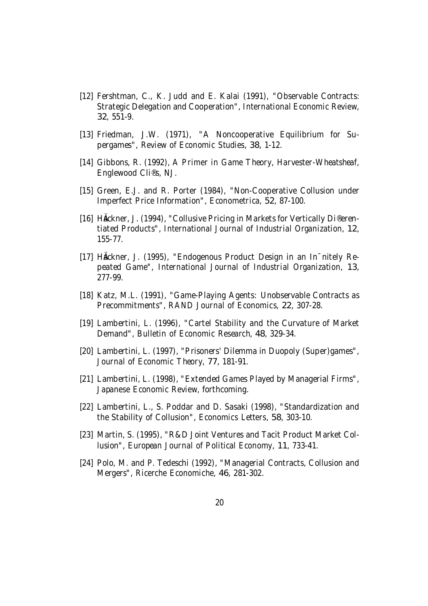- [12] Fershtman, C., K. Judd and E. Kalai (1991), "Observable Contracts: Strategic Delegation and Cooperation", International Economic Review, 32, 551-9.
- [13] Friedman, J.W. (1971), "A Noncooperative Equilibrium for Supergames", Review of Economic Studies, 38, 1-12.
- [14] Gibbons, R. (1992), A Primer in Game Theory, Harvester-Wheatsheaf, Englewood Cli®s, NJ.
- [15] Green, E.J. and R. Porter (1984), "Non-Cooperative Collusion under Imperfect Price Information", Econometrica, 52, 87-100.
- [16] HÄckner, J. (1994), "Collusive Pricing in Markets for Vertically Di®erentiated Products", International Journal of Industrial Organization, 12, 155-77.
- [17] Häckner, J. (1995), "Endogenous Product Design in an In<sup>-</sup>nitely Repeated Game", International Journal of Industrial Organization, 13, 277-99.
- [18] Katz, M.L. (1991), "Game-Playing Agents: Unobservable Contracts as Precommitments", RAND Journal of Economics, 22, 307-28.
- [19] Lambertini, L. (1996), "Cartel Stability and the Curvature of Market Demand", Bulletin of Economic Research, 48, 329-34.
- [20] Lambertini, L. (1997), "Prisoners' Dilemma in Duopoly (Super)games", Journal of Economic Theory, 77, 181-91.
- [21] Lambertini, L. (1998), "Extended Games Played by Managerial Firms", Japanese Economic Review, forthcoming.
- [22] Lambertini, L., S. Poddar and D. Sasaki (1998), "Standardization and the Stability of Collusion", Economics Letters, 58, 303-10.
- [23] Martin, S. (1995), "R&D Joint Ventures and Tacit Product Market Collusion", European Journal of Political Economy, 11, 733-41.
- [24] Polo, M. and P. Tedeschi (1992), "Managerial Contracts, Collusion and Mergers", Ricerche Economiche, 46, 281-302.